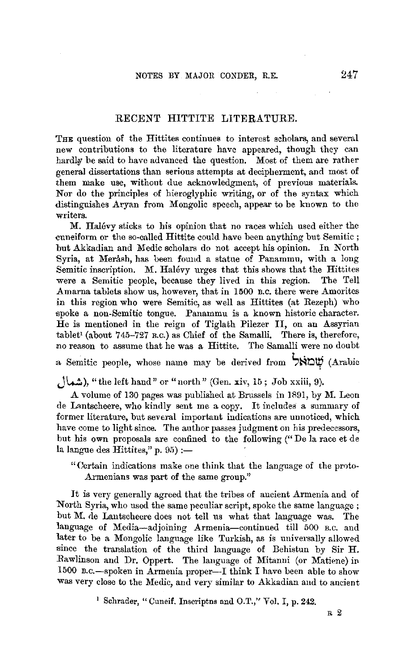## RECENT HITTITE LITERATURE.

THE question of the Hittites continues to interest scholars, and several new contributions to the literature have appeared, though they can hardly be said to have advanced the question. Most of them are rather general dissertations than serious attempts at decipherment, and most of them make use, without due acknowledgment, of previous materials. Nor do the principles of hieroglyphic writing, or of the syntax which distinguishes Aryan from Mongolic speech, appear to be known to the writers.

M. Halevy sticks to his opinion that no races which used either the cuneiform or the so-called Hittite could have been anything but Semitic ; but Akkadian and Medic scholars do not accept his opinion. In North Syria, at Merash, has been found a statue of Panammu, with a long Semitic inscription. M. Halevy urges that this shows that the Hittites were a Semitic people, because they lived in this region. The Tell Amarna tablets show us, however, that in 1500 B.c. there were Amorites in this region who were Semitic, as well as Hittites (at Rezeph) who spoke a non-Semitic tongue. Panammu is a known historic character. He is mentioned in the reign of Tiglath Pilezer II, on an Assyrian tablet' (about 745-727 B.c.) as Chief of the Samalli. There is, therefore, no reason to assume that he was a Hittite. The Samalli were no doubt  $\alpha$  Semitic people, whose name may be derived from  $\sum_{n=1}^{\infty}$  (Arabic

**JW),** "the left hand" or" north" {Gen. xiv, 15; Job xxiii, 9).

A volume of 130 pages was published at Brussels in 1891, by M. Leon de Lantscheere, who kindly sent me a copy. It includes a summary of former literature, but several important indications are unnoticed, which have come to light since. The author passes judgment on his predecessors, but his own proposals are confined to the following (" De la race et de la langue des Hittites," p.  $95$  :-

" Certain indications make one think that the language of the proto-Armenians was part of the same group.''

It is very generally agreed that the tribes of ancient Armenia and of North Syria, who used the same peculiar script, spoke the same language ; but M. de Lantscheere does not tell us what that language was. The language of Media-adjoining Armenia-continued till 500 B.C. and later to be a Mongolic language like Turkish, as is universally allowed since the translation of the third language of Behistun by Sir H. Rawlinson and Dr. Oppert. The language of Mitanni (or Matiene) in 1500 B.c.-spoken in Armenia proper--I think I have been able to show was very close to the Medic, and very similar to Akkadian and to ancient

<sup>1</sup> Schrader, " Cuneif. Inscriptns and O.T.," Vol. I, p. 242.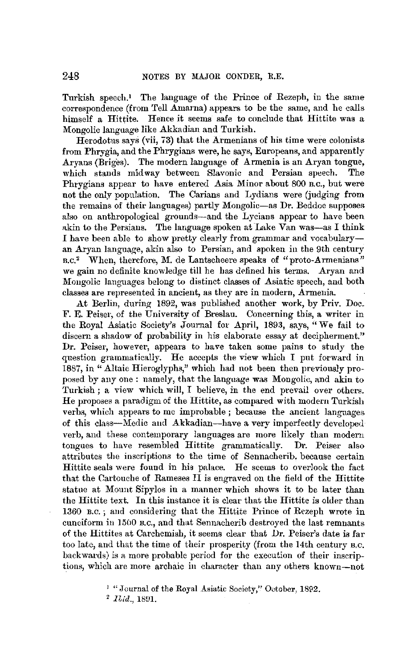Turkish speech.<sup>1</sup> The language of the Prince of Rezeph, in the same correspondence (from Tell Amarna) appears to be the same, and he calls himself a Hittite. Hence it seems safe to conclude that Hittite was a Mongolic language like Akkadian and Turkish.

Herodotus says (vii, 73) that the Armenians of his time were colonists from Phrygia, and the Phrygians were, he says, Europeans, and apparently Aryans (Briges). The modern language of Armenia is an Aryan tongue, which stands midway between Slavonic and Persian speech. The Phrygians appear to have entered Asia Minor about 800 B.c., but were not the only population. The Carians and Lydians were (judging from the remains of their languages) partly Mongolic-as Dr. Beddoe supposes also on anthropological grounds-and the Lycians appear to have been akin to the Persians. The language spoken at Lake Van was-as I think I have been able to show pretty clearly from grammar and vocabularyan Aryan language, akin also to Persian, and spoken in the 9th century s.c.2 When, therefore, M. de Lantscheere speaks of "proto-Armenians" we gain no definite knowledge till he has defined his terms. Aryan and Mongolic languages belong to distinct classes of Asiatic speech, and both classes are represented in ancient, as they are in modern, Armeuia.

At Berlin, during 1892, was published another work, by Priv. Doc. F. E. Peiser, of the University of Breslau. Concerning this, a writer in the Royal Asiatic Society's Journal for April, 1893, says, "We fail to discern a shadow of probability in his elaborate essay at decipherment." Dr. Peiser, however, appears to have taken some pains to study the question grammatically. He accepts the view which I put forward in 1887, in "Altaic Hieroglyphs," which had not been then previously proposed by any one : namely, that the language was Mongolic, and akin to Turkish; a view which will, I believe, in the end prevail over others. He proposes a paradigm of the Hittite, as compared with modern Turkish verbs, which appears to me improbable ; because the ancient languages of this class-Medic aud Akkadian-have a very imperfectly developed verb, and these contemporary languages are more likely than modern tongues to have resembled Hittite grammatically. **Dr.** Peiser also attributes the inscriptions to the time of Sennacherib. because certain Hittite seals were found in his palace. He seems to overlook the fact that the Cartonche of Rameses II is engraved on the field of the Hittite statue at Mount Sipylos **in** a manner which shows it to be later than the Hittite text. In this instance it is clear that the Hittite is older than 1360 B.C.; and considering that the Hittite Prince of Rezeph wrote in cuneiform iu 15(10 B.c., and that Sennacherib destroyed the last remnants of the Hittites at Carchemish, it seems clear that **Dr.** Peiser's date is far too late, and that the time of their prosperity (from the 14th century n.c. backwards) is a more probable period for the execution of their inscriptions, which are more archaic in character than any others known-not

<sup>&</sup>lt;sup>1</sup> "Journal of the Royal Asiatic Society," October, 1892.

 $^{2}$  *Ibid.*, 1891.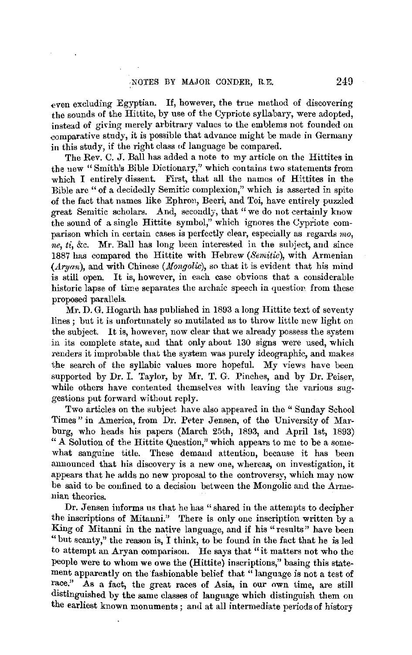even excluding Egyptian. If, however, the true method of discovering the sounds of the Hittite, by use of the Cypriote syllabary, were adopted, instead of giving merely arbitrary values to the emblems not founded on comparative study, it is possible that advance might be made in Germany in this study, if the right class of language be compared.

The Rev. C. J. Ball has added a note to my article on the Hittites in the new "Smith's Bible Dictionary," which contains two statements from which I entirely dissent. First, that all the names of Hittites in the Bible are" of a decidedly Semitic complexion," which is asserted in spite of the fact that names like Ephron, Beeri, and Toi, have entirely puzzled great Semitic scholars. And, secondly, that "we do not certainly know the sound of a single Hittite symbol," which ignores the Cypriote comparison **which** in certain cases is perfectly clear, especially as regards *mo, ne, ti,* &c. Mr. Ball has long been interested in the subject, and since 1887 has compared the Hittite with Hebrew *(Semitic)*, with Armenian  $(Aryan)$ , and with Chinese (*Mongolic*), so that it is evident that his mind is still open. It is, however, in each case obvious that a considerable historic lapse of time separates the archaic speech in question, from these proposed parallels.

Mr. D. G. Hogarth has published in 1893 a long Hittite text of seventy lines; but it is unfortunately so mutilated as to throw little new light on the subject. It is, however, now clear that we already possess the system in its complete state, and that only about 130 signs were used, which renders it improbable that the system was purely ideographic, and makes the search of the syllabic values more hopeful. My views have been supported by Dr. I. Taylor, by Mr. T. G. Pinches, and by Dr. Peiser, while others have contented themselves with leaving the various suggestions put forward without reply.

Two articles on the subject have also appeared in the "Sunday School Times" in America, from Dr. Peter Jensen, of the University of Marbnrg, who heads his papers (March 25th, 1893, and April 1st, 1893) "A Solution of the Hittite Question," which appears to me to be a somewhat sanguine title. These demand attention, because it has been announced that his discovery is a new one, whereas, on investigation, it appears that he adds no new proposal to the controversy, which may now be said to be confined to a decision between the Mongolic and the Armenian theories.

Dr. Jensen informs us that he has" shared in the attempts to decipher the inscriptions of Mitanni." There is only one inscription written by a King of Mitanni in the native language, and if his "results" have been "but scanty," the reason is, I think, to be found in the fact that he is led to attempt an Aryan comparison. He says that "it matters not who the people were to whom we owe the (Hittite) inscriptions," basing this statement apparently on the fashionable belief that "language is not a test of race." As a fact, the great races of Asia, in our own time, are still distinguished by the same classes of language which distinguish them on the earliest known monuments; and at all intermediate periods of history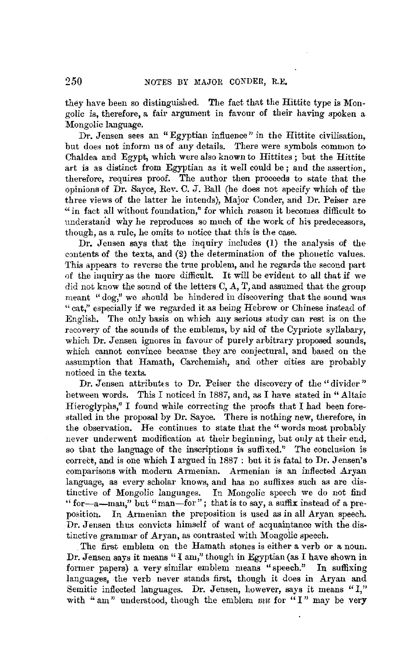they have been so distinguished. The fact that the Hittite type is Mongolic is, therefore, a fair argument in favour of their having spoken a Mongolic language.

Dr. Jensen sees an "Egyptian influence" in the Hittite civilisation. but does not inform us of any details. There were symbols common to Chaldea and Egypt, which were also known to Hittites; but the Hittite art is as distinct from Egyptian as it well could be ; and the assertion, therefore, requires proof. The author then proceeds to state that the opinions of Dr. Sayce, Rev. C. J. Ball (he does not specify which of the three views of the latter he intends), Major Conder, and Dr. Peiser are "in fact all without foundation," for which reason it becomes difficult to understand why he reproduces so much of the work of his predecessors, though, as a rule, he omits to notice that this is the case.

Dr. Jensen says that the inquiry includes (1) the analysis of the contents of the texts, and (2) the determination of the phonetic values. This appears to reverse the true problem, and he regards the second part of the inquiry as the more difficult. It will be evident to all that if we did not know the sound of the letters C, A, T, and assumed that the group meant "dog," we should be hindered in discovering that the sound was "cat," especially if we regarded it as being Hebrew or Chinese instead of English. The only basis on which any serious study can rest is on the recovery of the sounds of the emblems, by aid of the Cypriote syllabary. which Dr. Jensen ignores in favour of purely arbitrary proposed sounds, which cannot convince because they are conjectural, and based on the assumption that Hamatb, Carchemisb, and other cities are probably noticed in the texts.

Dr. Jensen attributes to Dr. Peiser the discovery of the "divider" between words. This I noticed in 1887, and, as I have stated **in** "Altaic Hieroglyphs," I found while correcting the proofs that I had been forestalled in the proposal by Dr. Sayce. There is nothing new, therefore, **in**  the observation. He continues to state that the "words most probably never underwent modification at their beginning, but only at their end, so that the language of the inscriptions is suffixed." The conclusion is correct, and is one which I argued in 1887 : but it is fatal to Dr. Jensen's comparisons with modern Armenian. Armenian is an inflected Aryan language, as every scholar knows, and has no suffixes such as are distinctive of Mongolic languages. In Mongolic speech we do not find " for-a-man," but "man-for"; that is to say, a suffix instead of a pre-<br>position. In Armenian the preposition is used as in all Arvan speech. In Armenian the preposition is used as in all Aryan speech. Dr. Jensen thus convicts himself of want of acquaintance with the distinctive grammar of Aryan, as contrasted with Mongolic speech.

The first emblem on the Hamath stones is either a verb or a noun. Dr. Jensen says it means" I am," though in Egyptian (as I have shown in tormer papers) a very similar emblem means "speech." In suffixing languages, the Yerb never stands first, though it does in Aryan and Semitic inflected languages. Dr. Jensen, however, says it means "I," with "am" understood, though the emblem *mu* for "I" may be **very**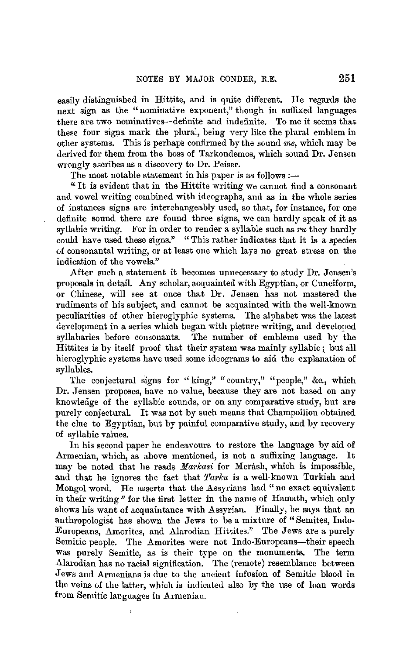easily distinguished in Hittite, and is quite different. He regards the next sign as the "nominative exponent," though in suffixed languages there are two nominatives-definite and indefinite. To me it seems that these four signs mark the plural, being very like the plural emblem in other systems. This is perhaps confirmed by the sound *me,* which may be derived for them from the boss of Tarkondemos, which sound Dr. Jensen wrongly ascribes as a discovery to Dr. Peiser.

The most notable statement in his paper is as follows :-

" It is evident that in the Hittite writing we cannot find a consonant and vowel writing combined with ideographs, and as in the whole series of instances signs are interchangeably used, so that, for instance, for one definite sound there are found three signs, we can hardly speak of it as syllabic writing. For in order to render a syllable such as *ru* they hardly could have used these signs." "This rather indicates that it is a species of consonantal writing, or at least one which lays no great stress on the indication of the vowels."

After such a statement it becomes unnecessary to study Dr. Jensen's proposals in detail. Any scholar, acquainted with Egyptian, or Cuneiform, or Chinese, will see at once that Dr. Jensen has not mastered the rudiments of his subject, and cannot be acquainted with the well-known peculiarities of other hieroglyphic systems. The alphabet was the latest development in a series which began with picture writing, and developed syllabaries before consonants. The number of emblems used by the Hittites is by itself proof that their system was mainly syllabic; but all hieroglyphic systems have used some ideograms to aid the explanation of syllables.

The conjectural signs for " $\text{king}$ ," "country," "people," &c., which Dr. Jensen proposes, have no value, because they are not based on any knowledge of the syllabic sounds, or on any comparative study, but are purely conjectural. It was not by such means that Champolliou obtained the clue to Egyptian, but by painful comparative study, and by recovery of syllabic values.

In his second paper he endeavours to restore the language by aid of Armenian, which, as above mentioned, is not a suffixing language. It may be noted that he reads *Markasi* for Merash, which is impossible, and that he ignores the fact that *Tarku* is a well-known Turkish and Mongol word. He asserts that the Assyrians had "no exact equivalent in their writing" for the first letter in the name of Hamath, which only shows his want of acquaintance with Assyrian. Finally, he says that an anthropologist has shown the Jews to be a mixture of "Semites, Indo-Europeans, Amorites, and Alarodian Hittites." The Jews are a purely Semitic people. The Amorites were not Indo-Europeans-their speech was purely Semitic, as is their type on the monuments. The term Alarodian has no racial signification. The (remote) resemblance between Jews and Armenians is due to the ancient infusion of Semitic blood in the veins of the latter, which is indicated also by the use of loan words from Semitic languages in Armenian.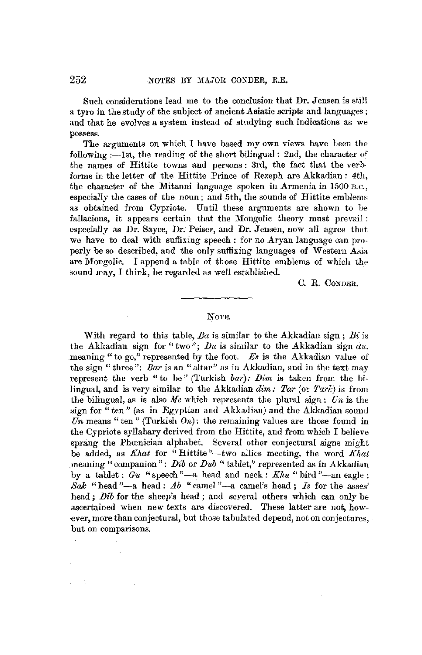Such considerations lead me to the conclusion that Dr. Jensen is still a tyro in the study of the subject of ancient Asiatic scripts and. languages; and that he evolves a system instead of studying such indications as we possess.

The arguments on which I have based my own views have been the following :—1st, the reading of the short bilingual : 2nd, the character of the names of Hittite towns and persons: 3rd, the fact that the verbforms in the letter of the Hittite Prince of Rezeph are Akkadian: 4th, the character of the Mitanni language spoken in Armenia in 1500 B.c., especially the cases of the noun; and 5th, the sounds of Hittite emblems as obtained from Cypriote. Until these arguments are shown to be fallacious, it appears certain that the Mongolic theory must prevail : especially as Dr. Sayce, Dr. Peiser, and Dr. Jensen, now all agree that we have to deal with suffixing speech : for no Aryan language can properly be so described, and the only suffixing languages of Western Asia are Mongolic. I append a table of those Hittite emblems of which the sound may, I think, be regarded as well established.

c. R. CONDER.

## NOTE.

With regard to this table, *Ba* is similar to the Akkadian sign ; *Bi* is the Akkadian sign for "two";  $Du$  is similar to the Akkadian sign  $du$ . meaning "to go," represented by the foot.  $Es$  is the Akkadian value of the sign "three": *Bar* is an "altar" as in Akkadian, and in the text may represent the verb "to be" (Turkish *bar): Dim* is taken from the bilingual, and is very similar to the Akkadian *dim: Tar (or Tark)* is from the bilingual, as is also *Me* which represents the plural sign: *Un* is the sign for "ten" (as in Egyptian and Akkadian) and the Akkadian sound  $\overline{Un}$  means "ten" (Turkish  $On$ ): the remaining values are those found in the Cypriote syllabary derived from the Hittite, and from which I believe sprang the Phœnician alphabet. Several other conjectural signs might be added, as *Khat* for "Hittite "-two allies meeting, the word *Khat*  meaning "companion": *Dib* or *Dub* "tablet," represented as in Akkadian by a tablet:  $Gu$  "speech"—a head and neck:  $Khu$  " bird "—an eagle: *Sak* "head "-a head:  $Ab$  "camel "-a camel's head; *Is* for the asses" head; *Dib* for the sheep's head; and seyeral others which can only be ascertained when new texts are discovered. These latter are not, how-·ever, more than conjectural, but those tabulated depend, not on conjectures, but on comparisons.